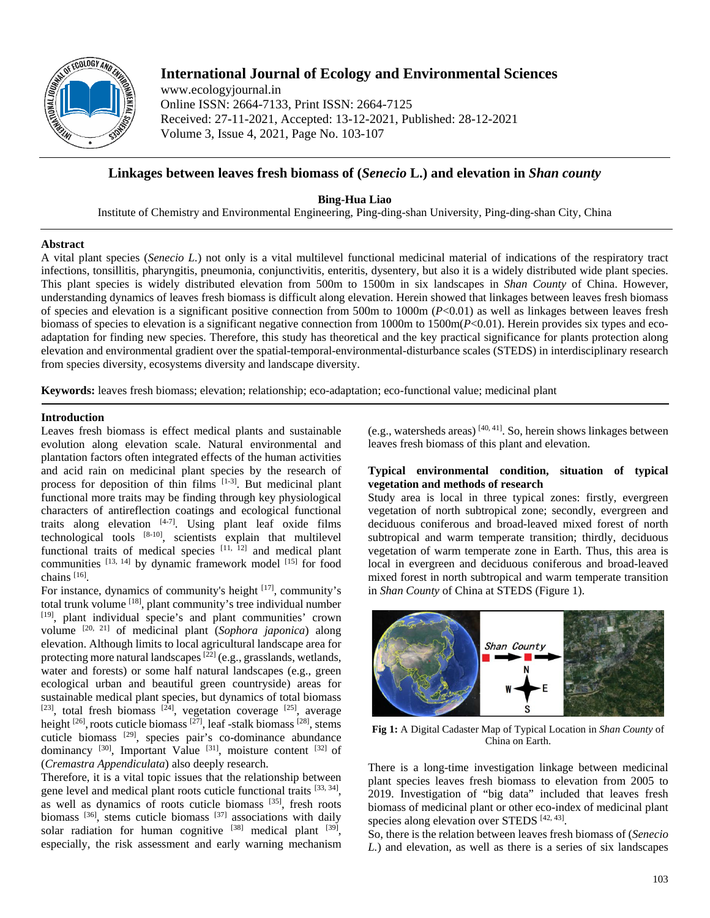

# **International Journal of Ecology and Environmental Sciences**

www.ecologyjournal.in Online ISSN: 2664-7133, Print ISSN: 2664-7125 Received: 27-11-2021, Accepted: 13-12-2021, Published: 28-12-2021 Volume 3, Issue 4, 2021, Page No. 103-107

## **Linkages between leaves fresh biomass of (***Senecio* **L.) and elevation in** *Shan county*

**Bing-Hua Liao**

Institute of Chemistry and Environmental Engineering, Ping-ding-shan University, Ping-ding-shan City, China

### **Abstract**

A vital plant species (*Senecio L.*) not only is a vital multilevel functional medicinal material of indications of the respiratory tract infections, tonsillitis, pharyngitis, pneumonia, conjunctivitis, enteritis, dysentery, but also it is a widely distributed wide plant species. This plant species is widely distributed elevation from 500m to 1500m in six landscapes in *Shan County* of China. However, understanding dynamics of leaves fresh biomass is difficult along elevation. Herein showed that linkages between leaves fresh biomass of species and elevation is a significant positive connection from 500m to 1000m (*P*<0.01) as well as linkages between leaves fresh biomass of species to elevation is a significant negative connection from 1000m to 1500m(*P*<0.01). Herein provides six types and ecoadaptation for finding new species. Therefore, this study has theoretical and the key practical significance for plants protection along elevation and environmental gradient over the spatial-temporal-environmental-disturbance scales (STEDS) in interdisciplinary research from species diversity, ecosystems diversity and landscape diversity.

**Keywords:** leaves fresh biomass; elevation; relationship; eco-adaptation; eco-functional value; medicinal plant

### **Introduction**

Leaves fresh biomass is effect medical plants and sustainable evolution along elevation scale. Natural environmental and plantation factors often integrated effects of the human activities and acid rain on medicinal plant species by the research of process for deposition of thin films  $[1-3]$ . But medicinal plant functional more traits may be finding through key physiological characters of antireflection coatings and ecological functional traits along elevation  $[4-7]$ . Using plant leaf oxide films technological tools [8-10], scientists explain that multilevel functional traits of medical species  $[11, 12]$  and medical plant communities  $[13, 14]$  by dynamic framework model  $[15]$  for food chains [16].

For instance, dynamics of community's height [17], community's total trunk volume [18], plant community's tree individual number [19], plant individual specie's and plant communities' crown volume [20, 21] of medicinal plant (*Sophora japonica*) along elevation. Although limits to local agricultural landscape area for protecting more natural landscapes<sup>[22]</sup> (e.g., grasslands, wetlands, water and forests) or some half natural landscapes (e.g., green ecological urban and beautiful green countryside) areas for sustainable medical plant species, but dynamics of total biomass  $[23]$ , total fresh biomass  $[24]$ , vegetation coverage  $[25]$ , average height  $[26]$ , roots cuticle biomass  $[27]$ , leaf -stalk biomass  $[28]$ , stems cuticle biomass [29] , species pair's co-dominance abundance dominancy  $[30]$ , Important Value  $[31]$ , moisture content  $[32]$  of (*Cremastra Appendiculata*) also deeply research.

Therefore, it is a vital topic issues that the relationship between gene level and medical plant roots cuticle functional traits [33, 34], as well as dynamics of roots cuticle biomass [35], fresh roots biomass <sup>[36]</sup>, stems cuticle biomass <sup>[37]</sup> associations with daily solar radiation for human cognitive  $[38]$  medical plant  $[39]$ , especially, the risk assessment and early warning mechanism

(e.g., watersheds areas)  $[40, 41]$ . So, herein shows linkages between leaves fresh biomass of this plant and elevation.

### **Typical environmental condition, situation of typical vegetation and methods of research**

Study area is local in three typical zones: firstly, evergreen vegetation of north subtropical zone; secondly, evergreen and deciduous coniferous and broad-leaved mixed forest of north subtropical and warm temperate transition; thirdly, deciduous vegetation of warm temperate zone in Earth. Thus, this area is local in evergreen and deciduous coniferous and broad-leaved mixed forest in north subtropical and warm temperate transition in *Shan County* of China at STEDS (Figure 1).



**Fig 1:** A Digital Cadaster Map of Typical Location in *Shan County* of China on Earth.

There is a long-time investigation linkage between medicinal plant species leaves fresh biomass to elevation from 2005 to 2019. Investigation of "big data" included that leaves fresh biomass of medicinal plant or other eco-index of medicinal plant species along elevation over STEDS [42, 43].

So, there is the relation between leaves fresh biomass of (*Senecio L.*) and elevation, as well as there is a series of six landscapes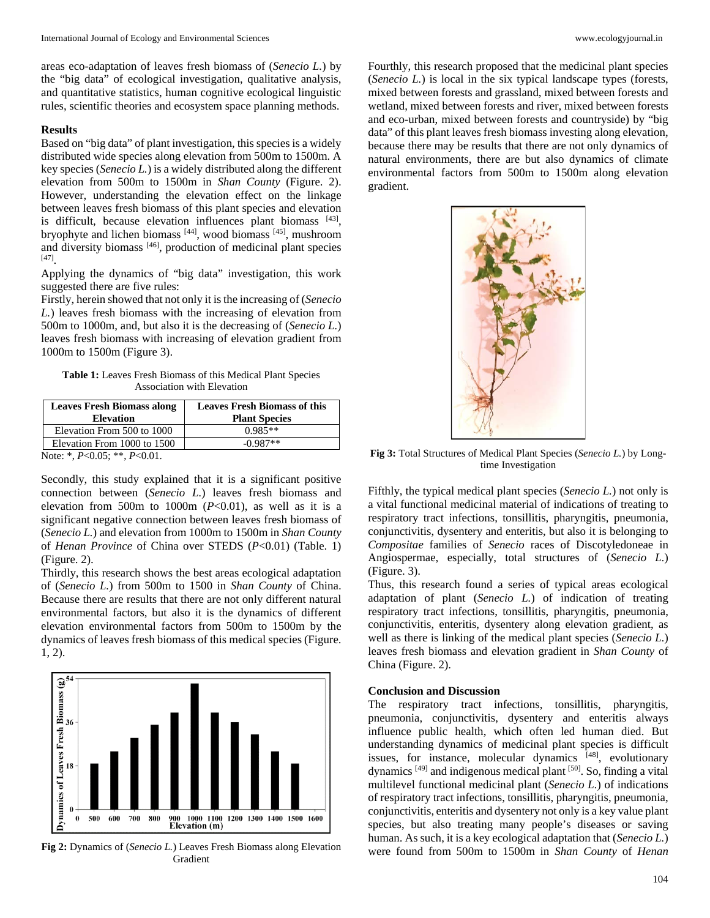areas eco-adaptation of leaves fresh biomass of (*Senecio L.*) by the "big data" of ecological investigation, qualitative analysis, and quantitative statistics, human cognitive ecological linguistic rules, scientific theories and ecosystem space planning methods.

#### **Results**

Based on "big data" of plant investigation, this species is a widely distributed wide species along elevation from 500m to 1500m. A key species (*Senecio L.*) is a widely distributed along the different elevation from 500m to 1500m in *Shan County* (Figure. 2). However, understanding the elevation effect on the linkage between leaves fresh biomass of this plant species and elevation is difficult, because elevation influences plant biomass [43], bryophyte and lichen biomass [44] , wood biomass [45] , mushroom and diversity biomass <a>[46]</a>, production of medicinal plant species [47] .

Applying the dynamics of "big data" investigation, this work suggested there are five rules:

Firstly, herein showed that not only it is the increasing of (*Senecio L.*) leaves fresh biomass with the increasing of elevation from 500m to 1000m, and, but also it is the decreasing of (*Senecio L.*) leaves fresh biomass with increasing of elevation gradient from 1000m to 1500m (Figure 3).

**Table 1:** Leaves Fresh Biomass of this Medical Plant Species Association with Elevation

| <b>Leaves Fresh Biomass along</b><br><b>Elevation</b> | <b>Leaves Fresh Biomass of this</b><br><b>Plant Species</b> |
|-------------------------------------------------------|-------------------------------------------------------------|
| Elevation From 500 to 1000                            | $0.985**$                                                   |
| Elevation From 1000 to 1500                           | $-0.987**$                                                  |
| Note: *, $P<0.05$ ; **, $P<0.01$ .                    |                                                             |

Secondly, this study explained that it is a significant positive connection between (*Senecio L.*) leaves fresh biomass and elevation from 500m to 1000m  $(P<0.01)$ , as well as it is a significant negative connection between leaves fresh biomass of (*Senecio L.*) and elevation from 1000m to 1500m in *Shan County*

of *Henan Province* of China over STEDS (*P*<0.01) (Table. 1) (Figure. 2).

Thirdly, this research shows the best areas ecological adaptation of (*Senecio L.*) from 500m to 1500 in *Shan County* of China. Because there are results that there are not only different natural environmental factors, but also it is the dynamics of different elevation environmental factors from 500m to 1500m by the dynamics of leaves fresh biomass of this medical species (Figure. 1, 2).



**Fig 2:** Dynamics of (*Senecio L.*) Leaves Fresh Biomass along Elevation Gradient

Fourthly, this research proposed that the medicinal plant species (*Senecio L.*) is local in the six typical landscape types (forests, mixed between forests and grassland, mixed between forests and wetland, mixed between forests and river, mixed between forests and eco-urban, mixed between forests and countryside) by "big data" of this plant leaves fresh biomass investing along elevation, because there may be results that there are not only dynamics of natural environments, there are but also dynamics of climate environmental factors from 500m to 1500m along elevation gradient.



**Fig 3:** Total Structures of Medical Plant Species (*Senecio L.*) by Longtime Investigation

Fifthly, the typical medical plant species (*Senecio L.*) not only is a vital functional medicinal material of indications of treating to respiratory tract infections, tonsillitis, pharyngitis, pneumonia, conjunctivitis, dysentery and enteritis, but also it is belonging to *Compositae* families of *Senecio* races of Discotyledoneae in Angiospermae, especially, total structures of (*Senecio L.*) (Figure. 3).

Thus, this research found a series of typical areas ecological adaptation of plant (*Senecio L.*) of indication of treating respiratory tract infections, tonsillitis, pharyngitis, pneumonia, conjunctivitis, enteritis, dysentery along elevation gradient, as well as there is linking of the medical plant species (*Senecio L.*) leaves fresh biomass and elevation gradient in *Shan County* of China (Figure. 2).

### **Conclusion and Discussion**

The respiratory tract infections, tonsillitis, pharyngitis, pneumonia, conjunctivitis, dysentery and enteritis always influence public health, which often led human died. But understanding dynamics of medicinal plant species is difficult issues, for instance, molecular dynamics [48], evolutionary dynamics<sup>[49]</sup> and indigenous medical plant<sup>[50]</sup>. So, finding a vital multilevel functional medicinal plant (*Senecio L.*) of indications of respiratory tract infections, tonsillitis, pharyngitis, pneumonia, conjunctivitis, enteritis and dysentery not only is a key value plant species, but also treating many people's diseases or saving human. As such, it is a key ecological adaptation that (*Senecio L.*) were found from 500m to 1500m in *Shan County* of *Henan*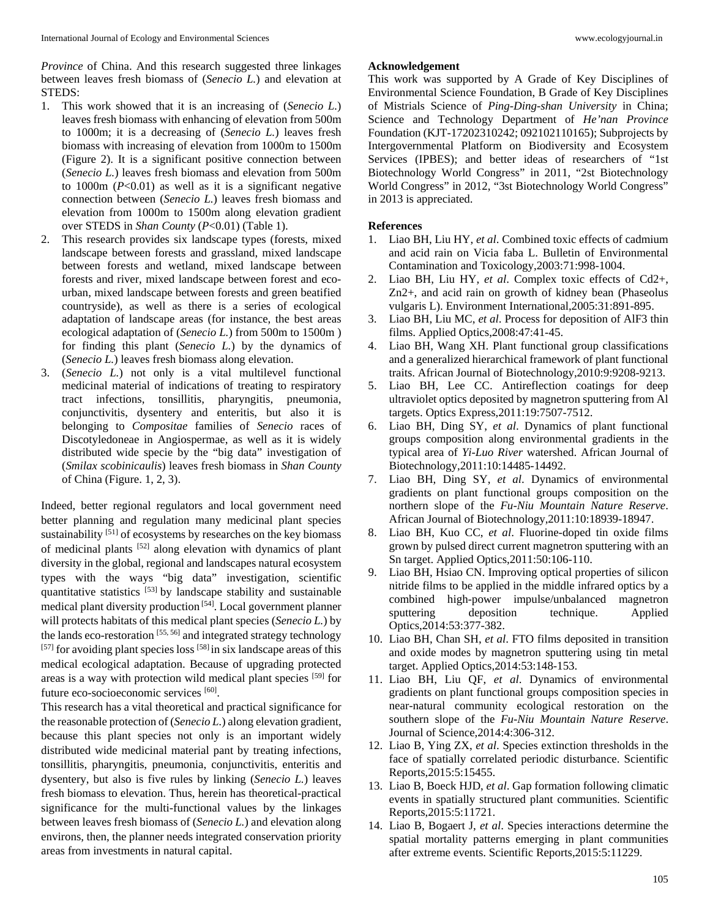*Province* of China. And this research suggested three linkages between leaves fresh biomass of (*Senecio L.*) and elevation at STEDS:

- 1. This work showed that it is an increasing of (*Senecio L.*) leaves fresh biomass with enhancing of elevation from 500m to 1000m; it is a decreasing of (*Senecio L.*) leaves fresh biomass with increasing of elevation from 1000m to 1500m (Figure 2). It is a significant positive connection between (*Senecio L.*) leaves fresh biomass and elevation from 500m to 1000m (*P*<0.01) as well as it is a significant negative connection between (*Senecio L.*) leaves fresh biomass and elevation from 1000m to 1500m along elevation gradient over STEDS in *Shan County* (*P*<0.01) (Table 1).
- 2. This research provides six landscape types (forests, mixed landscape between forests and grassland, mixed landscape between forests and wetland, mixed landscape between forests and river, mixed landscape between forest and ecourban, mixed landscape between forests and green beatified countryside), as well as there is a series of ecological adaptation of landscape areas (for instance, the best areas ecological adaptation of (*Senecio L.*) from 500m to 1500m ) for finding this plant (*Senecio L.*) by the dynamics of (*Senecio L.*) leaves fresh biomass along elevation.
- 3. (*Senecio L.*) not only is a vital multilevel functional medicinal material of indications of treating to respiratory tract infections, tonsillitis, pharyngitis, pneumonia, conjunctivitis, dysentery and enteritis, but also it is belonging to *Compositae* families of *Senecio* races of Discotyledoneae in Angiospermae, as well as it is widely distributed wide specie by the "big data" investigation of (*Smilax scobinicaulis*) leaves fresh biomass in *Shan County*  of China (Figure. 1, 2, 3).

Indeed, better regional regulators and local government need better planning and regulation many medicinal plant species sustainability <sup>[51]</sup> of ecosystems by researches on the key biomass of medicinal plants [52] along elevation with dynamics of plant diversity in the global, regional and landscapes natural ecosystem types with the ways "big data" investigation, scientific quantitative statistics [53] by landscape stability and sustainable medical plant diversity production<sup>[54]</sup>. Local government planner will protects habitats of this medical plant species (*Senecio L.*) by the lands eco-restoration  $[55, 56]$  and integrated strategy technology  $[57]$  for avoiding plant species loss  $[58]$  in six landscape areas of this medical ecological adaptation. Because of upgrading protected areas is a way with protection wild medical plant species [59] for future eco-socioeconomic services [60].

This research has a vital theoretical and practical significance for the reasonable protection of (*Senecio L.*) along elevation gradient, because this plant species not only is an important widely distributed wide medicinal material pant by treating infections, tonsillitis, pharyngitis, pneumonia, conjunctivitis, enteritis and dysentery, but also is five rules by linking (*Senecio L.*) leaves fresh biomass to elevation. Thus, herein has theoretical-practical significance for the multi-functional values by the linkages between leaves fresh biomass of (*Senecio L.*) and elevation along environs, then, the planner needs integrated conservation priority areas from investments in natural capital.

#### **Acknowledgement**

This work was supported by A Grade of Key Disciplines of Environmental Science Foundation, B Grade of Key Disciplines of Mistrials Science of *Ping-Ding-shan University* in China; Science and Technology Department of *He'nan Province* Foundation (KJT-17202310242; 092102110165); Subprojects by Intergovernmental Platform on Biodiversity and Ecosystem Services (IPBES); and better ideas of researchers of "1st Biotechnology World Congress" in 2011, "2st Biotechnology World Congress" in 2012, "3st Biotechnology World Congress" in 2013 is appreciated.

#### **References**

- 1. Liao BH, Liu HY, *et al*. Combined toxic effects of cadmium and acid rain on Vicia faba L. Bulletin of Environmental Contamination and Toxicology,2003:71:998-1004.
- 2. Liao BH, Liu HY, *et al*. Complex toxic effects of Cd2+, Zn2+, and acid rain on growth of kidney bean (Phaseolus vulgaris L). Environment International,2005:31:891-895.
- 3. Liao BH, Liu MC, *et al*. Process for deposition of AlF3 thin films. Applied Optics,2008:47:41-45.
- 4. Liao BH, Wang XH. Plant functional group classifications and a generalized hierarchical framework of plant functional traits. African Journal of Biotechnology,2010:9:9208-9213.
- 5. Liao BH, Lee CC. Antireflection coatings for deep ultraviolet optics deposited by magnetron sputtering from Al targets. Optics Express,2011:19:7507-7512.
- 6. Liao BH, Ding SY, *et al*. Dynamics of plant functional groups composition along environmental gradients in the typical area of *Yi-Luo River* watershed. African Journal of Biotechnology,2011:10:14485-14492.
- 7. Liao BH, Ding SY, *et al*. Dynamics of environmental gradients on plant functional groups composition on the northern slope of the *Fu-Niu Mountain Nature Reserve*. African Journal of Biotechnology,2011:10:18939-18947.
- 8. Liao BH, Kuo CC, *et al*. Fluorine-doped tin oxide films grown by pulsed direct current magnetron sputtering with an Sn target. Applied Optics,2011:50:106-110.
- 9. Liao BH, Hsiao CN. Improving optical properties of silicon nitride films to be applied in the middle infrared optics by a combined high-power impulse/unbalanced magnetron sputtering deposition technique. Applied Optics,2014:53:377-382.
- 10. Liao BH, Chan SH, *et al*. FTO films deposited in transition and oxide modes by magnetron sputtering using tin metal target. Applied Optics,2014:53:148-153.
- 11. Liao BH, Liu QF, *et al*. Dynamics of environmental gradients on plant functional groups composition species in near-natural community ecological restoration on the southern slope of the *Fu-Niu Mountain Nature Reserve*. Journal of Science,2014:4:306-312.
- 12. Liao B, Ying ZX, *et al*. Species extinction thresholds in the face of spatially correlated periodic disturbance. Scientific Reports,2015:5:15455.
- 13. Liao B, Boeck HJD, *et al*. Gap formation following climatic events in spatially structured plant communities. Scientific Reports,2015:5:11721.
- 14. Liao B, Bogaert J, *et al*. Species interactions determine the spatial mortality patterns emerging in plant communities after extreme events. Scientific Reports,2015:5:11229.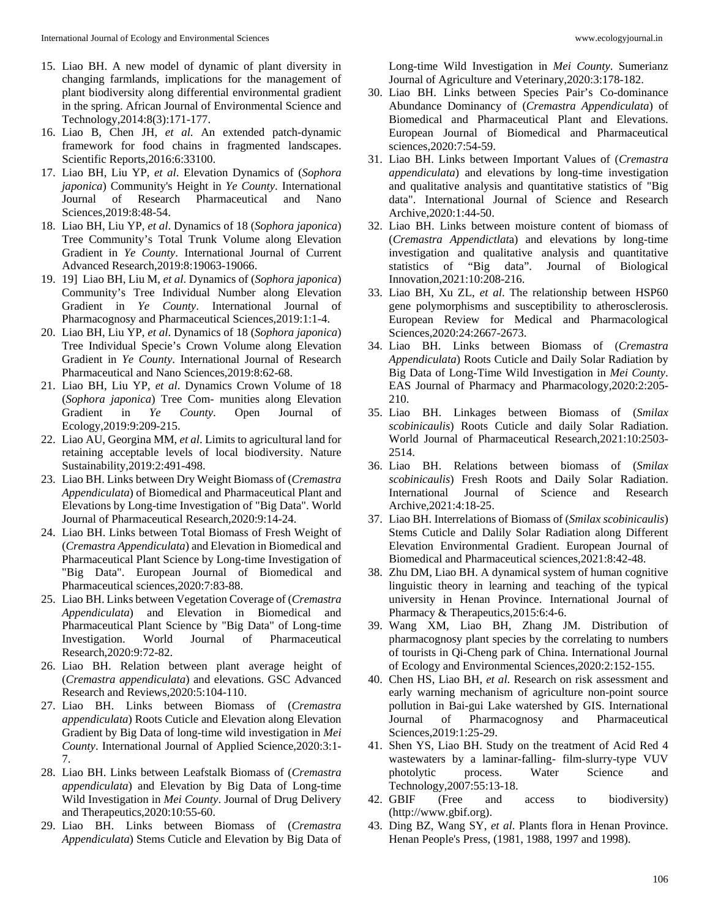- 15. Liao BH. A new model of dynamic of plant diversity in changing farmlands, implications for the management of plant biodiversity along differential environmental gradient in the spring. African Journal of Environmental Science and Technology,2014:8(3):171-177.
- 16. Liao B, Chen JH, *et al*. An extended patch-dynamic framework for food chains in fragmented landscapes. Scientific Reports,2016:6:33100.
- 17. Liao BH, Liu YP, *et al*. Elevation Dynamics of (*Sophora japonica*) Community's Height in *Ye County*. International Journal of Research Pharmaceutical and Nano Sciences,2019:8:48-54.
- 18. Liao BH, Liu YP, *et al*. Dynamics of 18 (*Sophora japonica*) Tree Community's Total Trunk Volume along Elevation Gradient in *Ye County*. International Journal of Current Advanced Research,2019:8:19063-19066.
- 19. 19] Liao BH, Liu M, *et al*. Dynamics of (*Sophora japonica*) Community's Tree Individual Number along Elevation Gradient in *Ye County*. International Journal of Pharmacognosy and Pharmaceutical Sciences,2019:1:1-4.
- 20. Liao BH, Liu YP, *et al*. Dynamics of 18 (*Sophora japonica*) Tree Individual Specie's Crown Volume along Elevation Gradient in *Ye County*. International Journal of Research Pharmaceutical and Nano Sciences,2019:8:62-68.
- 21. Liao BH, Liu YP, *et al*. Dynamics Crown Volume of 18 (*Sophora japonica*) Tree Com- munities along Elevation Gradient in *Ye County*. Open Journal of Ecology,2019:9:209-215.
- 22. Liao AU, Georgina MM, *et al*. Limits to agricultural land for retaining acceptable levels of local biodiversity. Nature Sustainability,2019:2:491-498.
- 23. Liao BH. Links between Dry Weight Biomass of (*Cremastra Appendiculata*) of Biomedical and Pharmaceutical Plant and Elevations by Long-time Investigation of "Big Data". World Journal of Pharmaceutical Research,2020:9:14-24.
- 24. Liao BH. Links between Total Biomass of Fresh Weight of (*Cremastra Appendiculata*) and Elevation in Biomedical and Pharmaceutical Plant Science by Long-time Investigation of "Big Data". European Journal of Biomedical and Pharmaceutical sciences,2020:7:83-88.
- 25. Liao BH. Links between Vegetation Coverage of (*Cremastra Appendiculata*) and Elevation in Biomedical and Pharmaceutical Plant Science by "Big Data" of Long-time Investigation. World Journal of Pharmaceutical Research,2020:9:72-82.
- 26. Liao BH. Relation between plant average height of (*Cremastra appendiculata*) and elevations. GSC Advanced Research and Reviews,2020:5:104-110.
- 27. Liao BH. Links between Biomass of (*Cremastra appendiculata*) Roots Cuticle and Elevation along Elevation Gradient by Big Data of long-time wild investigation in *Mei County*. International Journal of Applied Science,2020:3:1- 7.
- 28. Liao BH. Links between Leafstalk Biomass of (*Cremastra appendiculata*) and Elevation by Big Data of Long-time Wild Investigation in *Mei County*. Journal of Drug Delivery and Therapeutics,2020:10:55-60.
- 29. Liao BH. Links between Biomass of (*Cremastra Appendiculata*) Stems Cuticle and Elevation by Big Data of

Long-time Wild Investigation in *Mei County*. Sumerianz Journal of Agriculture and Veterinary,2020:3:178-182.

- 30. Liao BH. Links between Species Pair's Co-dominance Abundance Dominancy of (*Cremastra Appendiculata*) of Biomedical and Pharmaceutical Plant and Elevations. European Journal of Biomedical and Pharmaceutical sciences,2020:7:54-59.
- 31. Liao BH. Links between Important Values of (*Cremastra appendiculata*) and elevations by long-time investigation and qualitative analysis and quantitative statistics of "Big data". International Journal of Science and Research Archive,2020:1:44-50.
- 32. Liao BH. Links between moisture content of biomass of (*Cremastra Appendictlat*a) and elevations by long-time investigation and qualitative analysis and quantitative statistics of "Big data". Journal of Biological Innovation,2021:10:208-216.
- 33. Liao BH, Xu ZL, *et al*. The relationship between HSP60 gene polymorphisms and susceptibility to atherosclerosis. European Review for Medical and Pharmacological Sciences,2020:24:2667-2673.
- 34. Liao BH. Links between Biomass of (*Cremastra Appendiculata*) Roots Cuticle and Daily Solar Radiation by Big Data of Long-Time Wild Investigation in *Mei County*. EAS Journal of Pharmacy and Pharmacology,2020:2:205- 210.
- 35. Liao BH. Linkages between Biomass of (*Smilax scobinicaulis*) Roots Cuticle and daily Solar Radiation. World Journal of Pharmaceutical Research,2021:10:2503- 2514.
- 36. Liao BH. Relations between biomass of (*Smilax scobinicaulis*) Fresh Roots and Daily Solar Radiation. International Journal of Science and Research Archive,2021:4:18-25.
- 37. Liao BH. Interrelations of Biomass of (*Smilax scobinicaulis*) Stems Cuticle and Dalily Solar Radiation along Different Elevation Environmental Gradient. European Journal of Biomedical and Pharmaceutical sciences,2021:8:42-48.
- 38. Zhu DM, Liao BH. A dynamical system of human cognitive linguistic theory in learning and teaching of the typical university in Henan Province. International Journal of Pharmacy & Therapeutics, 2015:6:4-6.
- 39. Wang XM, Liao BH, Zhang JM. Distribution of pharmacognosy plant species by the correlating to numbers of tourists in Qi-Cheng park of China. International Journal of Ecology and Environmental Sciences,2020:2:152-155.
- 40. Chen HS, Liao BH, *et al*. Research on risk assessment and early warning mechanism of agriculture non-point source pollution in Bai-gui Lake watershed by GIS. International Journal of Pharmacognosy and Pharmaceutical Sciences,2019:1:25-29.
- 41. Shen YS, Liao BH. Study on the treatment of Acid Red 4 wastewaters by a laminar-falling- film-slurry-type VUV photolytic process. Water Science and Technology,2007:55:13-18.
- 42. GBIF (Free and access to biodiversity) (http://www.gbif.org).
- 43. Ding BZ, Wang SY, *et al*. Plants flora in Henan Province. Henan People's Press, (1981, 1988, 1997 and 1998).